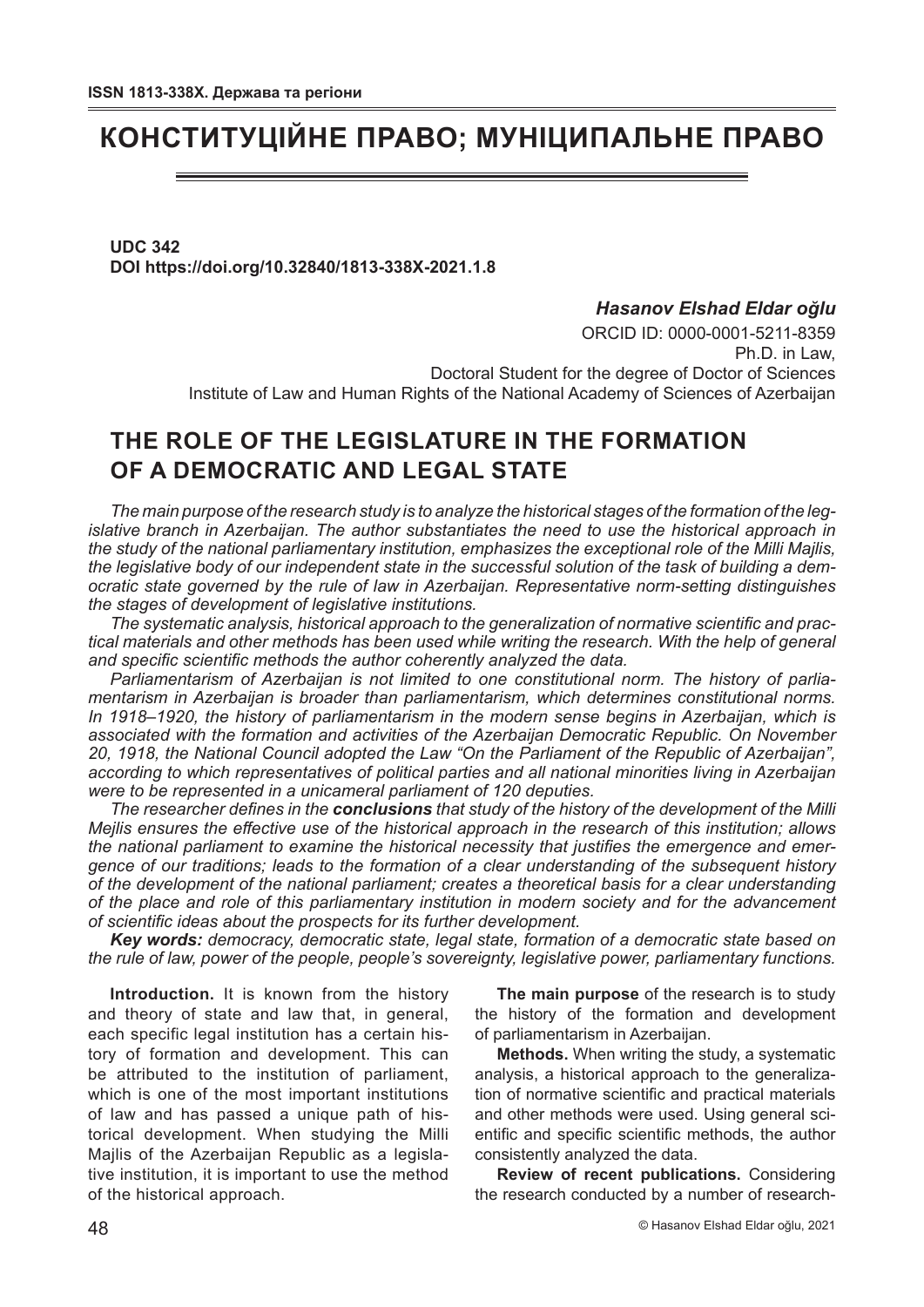# **КОНСТИТУЦІЙНЕ ПРАВО; МУНІЦИПАЛЬНЕ ПРАВО**

**UDC 342 DOI https://doi.org/10.32840/1813-338X-2021.1.8**

### *Hasanov Elshad Eldar oğlu*

ORCID ID: 0000-0001-5211-8359 Ph.D. in Law Doctoral Student for the degree of Doctor of Sciences Institute of Law and Human Rights of the National Academy of Sciences of Azerbaijan

## **THE ROLE OF THE LEGISLATURE IN THE FORMATION OF A DEMOCRATIC AND LEGAL STATE**

*The main purpose of the research study is to analyze the historical stages of the formation of the legislative branch in Azerbaijan. The author substantiates the need to use the historical approach in the study of the national parliamentary institution, emphasizes the exceptional role of the Milli Majlis, the legislative body of our independent state in the successful solution of the task of building a democratic state governed by the rule of law in Azerbaijan. Representative norm-setting distinguishes the stages of development of legislative institutions.*

*The systematic analysis, historical approach to the generalization of normative scientific and practical materials and other methods has been used while writing the research. With the help of general and specific scientific methods the author coherently analyzed the data.*

*Parliamentarism of Azerbaijan is not limited to one constitutional norm. The history of parliamentarism in Azerbaijan is broader than parliamentarism, which determines constitutional norms.*  In 1918–1920, the history of parliamentarism in the modern sense begins in Azerbaijan, which is *associated with the formation and activities of the Azerbaijan Democratic Republic. On November 20, 1918, the National Council adopted the Law "On the Parliament of the Republic of Azerbaijan", according to which representatives of political parties and all national minorities living in Azerbaijan were to be represented in a unicameral parliament of 120 deputies.*

*The researcher defines in the conclusions that study of the history of the development of the Milli Mejlis ensures the effective use of the historical approach in the research of this institution; allows the national parliament to examine the historical necessity that justifies the emergence and emergence of our traditions; leads to the formation of a clear understanding of the subsequent history of the development of the national parliament; creates a theoretical basis for a clear understanding of the place and role of this parliamentary institution in modern society and for the advancement of scientific ideas about the prospects for its further development.*

*Key words: democracy, democratic state, legal state, formation of a democratic state based on the rule of law, power of the people, people's sovereignty, legislative power, parliamentary functions.*

**Introduction.** It is known from the history and theory of state and law that, in general, each specific legal institution has a certain history of formation and development. This can be attributed to the institution of parliament, which is one of the most important institutions of law and has passed a unique path of historical development. When studying the Milli Majlis of the Azerbaijan Republic as a legislative institution, it is important to use the method of the historical approach.

**The main purpose** of the research is to study the history of the formation and development of parliamentarism in Azerbaijan.

**Methods.** When writing the study, a systematic analysis, a historical approach to the generalization of normative scientific and practical materials and other methods were used. Using general scientific and specific scientific methods, the author consistently analyzed the data.

**Review of recent publications.** Considering the research conducted by a number of research-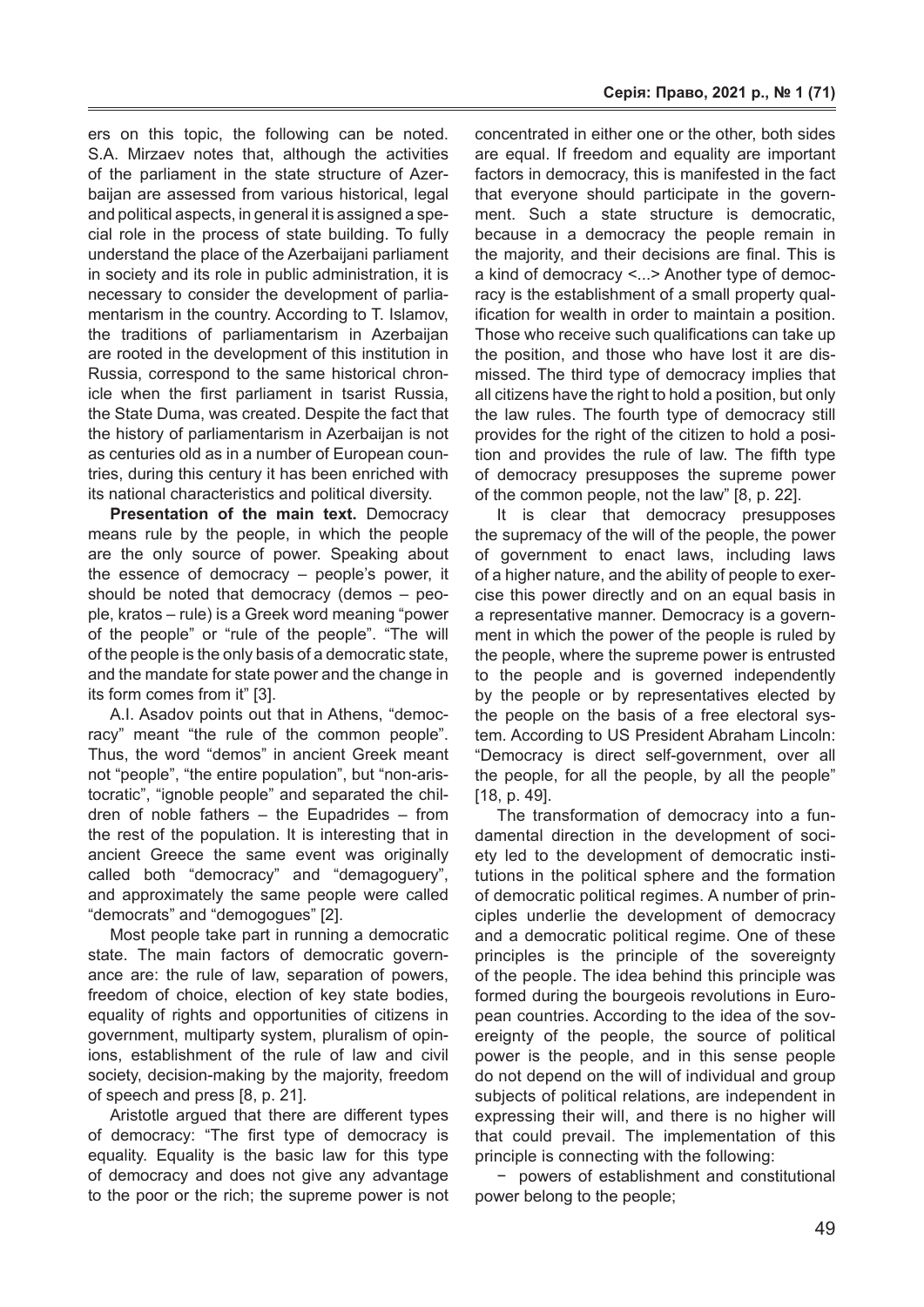ers on this topic, the following can be noted. S.A. Mirzaev notes that, although the activities of the parliament in the state structure of Azerbaijan are assessed from various historical, legal and political aspects, in general it is assigned a special role in the process of state building. To fully understand the place of the Azerbaijani parliament in society and its role in public administration, it is necessary to consider the development of parliamentarism in the country. According to T. Islamov, the traditions of parliamentarism in Azerbaijan are rooted in the development of this institution in Russia, correspond to the same historical chronicle when the first parliament in tsarist Russia, the State Duma, was created. Despite the fact that the history of parliamentarism in Azerbaijan is not as centuries old as in a number of European countries, during this century it has been enriched with its national characteristics and political diversity.

**Presentation of the main text.** Democracy means rule by the people, in which the people are the only source of power. Speaking about the essence of democracy – people's power, it should be noted that democracy (demos – people, kratos – rule) is a Greek word meaning "power of the people" or "rule of the people". "The will of the people is the only basis of a democratic state, and the mandate for state power and the change in its form comes from it" [3].

A.I. Asadov points out that in Athens, "democracy" meant "the rule of the common people". Thus, the word "demos" in ancient Greek meant not "people", "the entire population", but "non-aristocratic", "ignoble people" and separated the children of noble fathers – the Eupadrides – from the rest of the population. It is interesting that in ancient Greece the same event was originally called both "democracy" and "demagoguery", and approximately the same people were called "democrats" and "demogogues" [2].

Most people take part in running a democratic state. The main factors of democratic governance are: the rule of law, separation of powers, freedom of choice, election of key state bodies, equality of rights and opportunities of citizens in government, multiparty system, pluralism of opinions, establishment of the rule of law and civil society, decision-making by the majority, freedom of speech and press [8, p. 21].

Aristotle argued that there are different types of democracy: "The first type of democracy is equality. Equality is the basic law for this type of democracy and does not give any advantage to the poor or the rich; the supreme power is not

concentrated in either one or the other, both sides are equal. If freedom and equality are important factors in democracy, this is manifested in the fact that everyone should participate in the government. Such a state structure is democratic, because in a democracy the people remain in the majority, and their decisions are final. This is a kind of democracy <...> Another type of democracy is the establishment of a small property qualification for wealth in order to maintain a position. Those who receive such qualifications can take up the position, and those who have lost it are dismissed. The third type of democracy implies that all citizens have the right to hold a position, but only the law rules. The fourth type of democracy still provides for the right of the citizen to hold a position and provides the rule of law. The fifth type of democracy presupposes the supreme power of the common people, not the law" [8, p. 22].

It is clear that democracy presupposes the supremacy of the will of the people, the power of government to enact laws, including laws of a higher nature, and the ability of people to exercise this power directly and on an equal basis in a representative manner. Democracy is a government in which the power of the people is ruled by the people, where the supreme power is entrusted to the people and is governed independently by the people or by representatives elected by the people on the basis of a free electoral system. According to US President Abraham Lincoln: "Democracy is direct self-government, over all the people, for all the people, by all the people" [18, p. 49].

The transformation of democracy into a fundamental direction in the development of society led to the development of democratic institutions in the political sphere and the formation of democratic political regimes. A number of principles underlie the development of democracy and a democratic political regime. One of these principles is the principle of the sovereignty of the people. The idea behind this principle was formed during the bourgeois revolutions in European countries. According to the idea of the sovereignty of the people, the source of political power is the people, and in this sense people do not depend on the will of individual and group subjects of political relations, are independent in expressing their will, and there is no higher will that could prevail. The implementation of this principle is connecting with the following:

− powers of establishment and constitutional power belong to the people;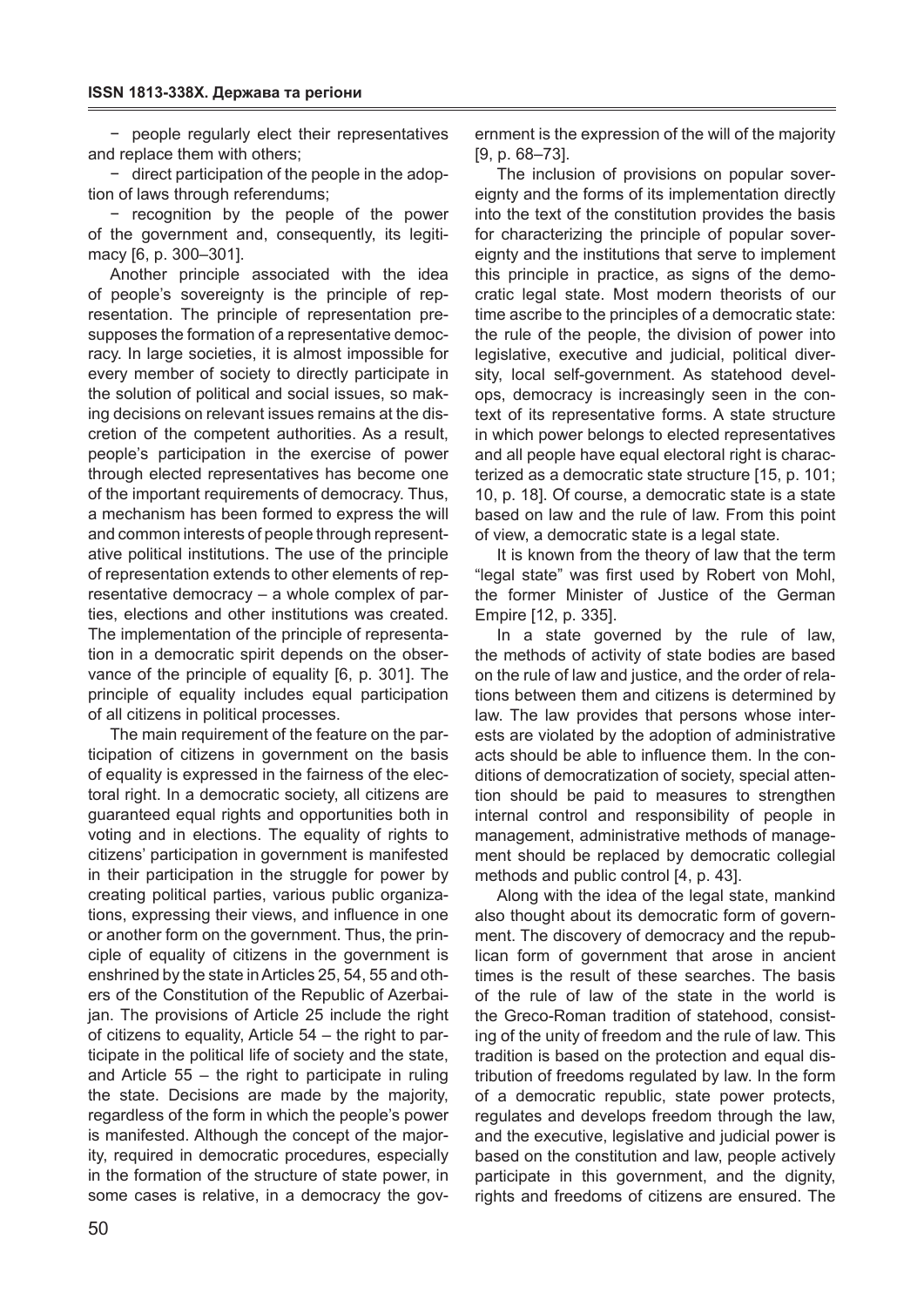− people regularly elect their representatives and replace them with others;

− direct participation of the people in the adoption of laws through referendums;

− recognition by the people of the power of the government and, consequently, its legitimacy [6, p. 300–301].

Another principle associated with the idea of people's sovereignty is the principle of representation. The principle of representation presupposes the formation of a representative democracy. In large societies, it is almost impossible for every member of society to directly participate in the solution of political and social issues, so making decisions on relevant issues remains at the discretion of the competent authorities. As a result, people's participation in the exercise of power through elected representatives has become one of the important requirements of democracy. Thus, a mechanism has been formed to express the will and common interests of people through representative political institutions. The use of the principle of representation extends to other elements of representative democracy – a whole complex of parties, elections and other institutions was created. The implementation of the principle of representation in a democratic spirit depends on the observance of the principle of equality [6, p. 301]. The principle of equality includes equal participation of all citizens in political processes.

The main requirement of the feature on the participation of citizens in government on the basis of equality is expressed in the fairness of the electoral right. In a democratic society, all citizens are guaranteed equal rights and opportunities both in voting and in elections. The equality of rights to citizens' participation in government is manifested in their participation in the struggle for power by creating political parties, various public organizations, expressing their views, and influence in one or another form on the government. Thus, the principle of equality of citizens in the government is enshrined by the state in Articles 25, 54, 55 and others of the Constitution of the Republic of Azerbaijan. The provisions of Article 25 include the right of citizens to equality, Article 54 – the right to participate in the political life of society and the state, and Article 55 – the right to participate in ruling the state. Decisions are made by the majority, regardless of the form in which the people's power is manifested. Although the concept of the majority, required in democratic procedures, especially in the formation of the structure of state power, in some cases is relative, in a democracy the gov-

ernment is the expression of the will of the majority [9, p. 68–73].

The inclusion of provisions on popular sovereignty and the forms of its implementation directly into the text of the constitution provides the basis for characterizing the principle of popular sovereignty and the institutions that serve to implement this principle in practice, as signs of the democratic legal state. Most modern theorists of our time ascribe to the principles of a democratic state: the rule of the people, the division of power into legislative, executive and judicial, political diversity, local self-government. As statehood develops, democracy is increasingly seen in the context of its representative forms. A state structure in which power belongs to elected representatives and all people have equal electoral right is characterized as a democratic state structure [15, p. 101; 10, p. 18]. Of course, a democratic state is a state based on law and the rule of law. From this point of view, a democratic state is a legal state.

It is known from the theory of law that the term "legal state" was first used by Robert von Mohl, the former Minister of Justice of the German Empire [12, p. 335].

In a state governed by the rule of law, the methods of activity of state bodies are based on the rule of law and justice, and the order of relations between them and citizens is determined by law. The law provides that persons whose interests are violated by the adoption of administrative acts should be able to influence them. In the conditions of democratization of society, special attention should be paid to measures to strengthen internal control and responsibility of people in management, administrative methods of management should be replaced by democratic collegial methods and public control [4, p. 43].

Along with the idea of the legal state, mankind also thought about its democratic form of government. The discovery of democracy and the republican form of government that arose in ancient times is the result of these searches. The basis of the rule of law of the state in the world is the Greco-Roman tradition of statehood, consisting of the unity of freedom and the rule of law. This tradition is based on the protection and equal distribution of freedoms regulated by law. In the form of a democratic republic, state power protects, regulates and develops freedom through the law, and the executive, legislative and judicial power is based on the constitution and law, people actively participate in this government, and the dignity, rights and freedoms of citizens are ensured. The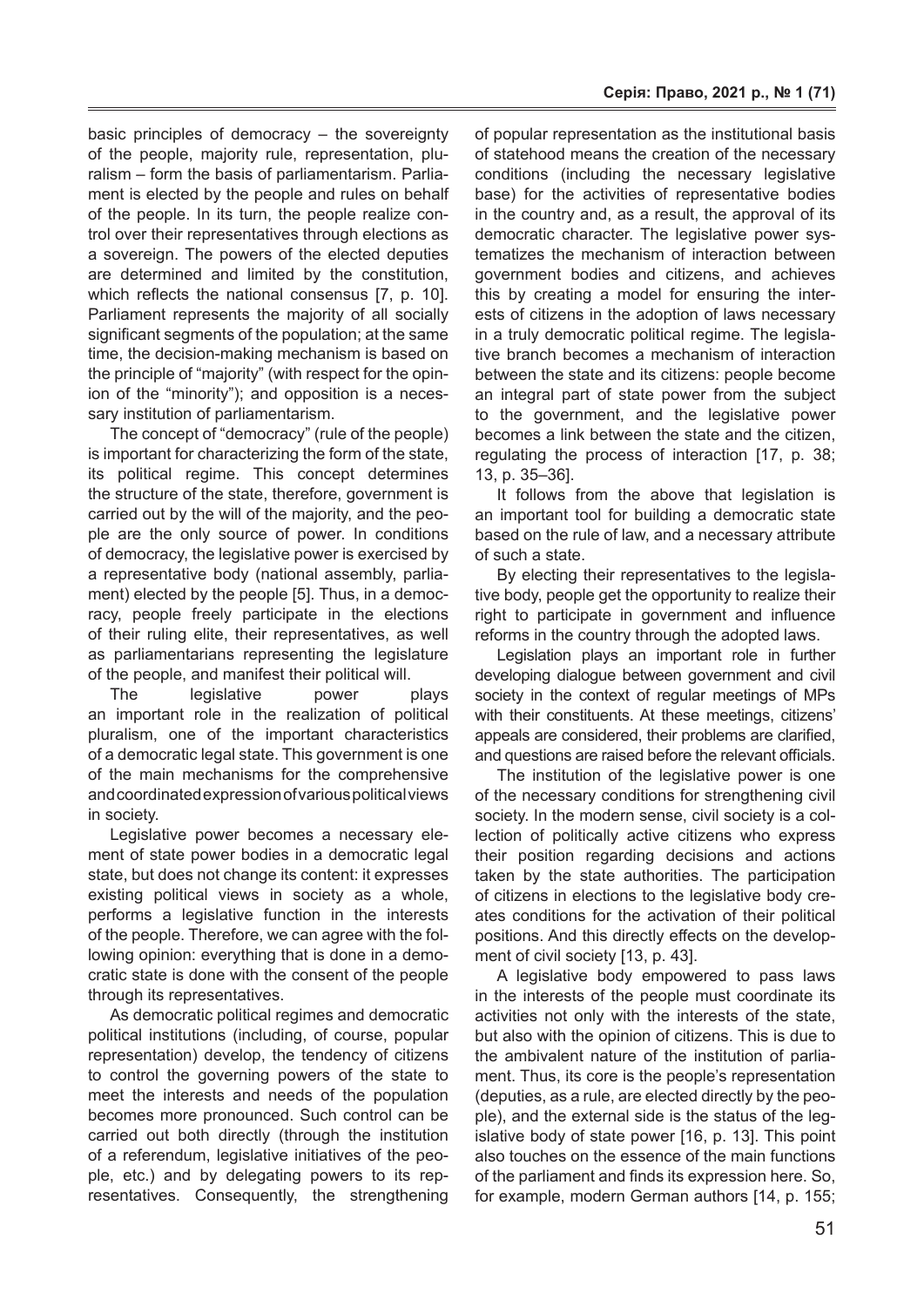basic principles of democracy – the sovereignty of the people, majority rule, representation, pluralism – form the basis of parliamentarism. Parliament is elected by the people and rules on behalf of the people. In its turn, the people realize control over their representatives through elections as a sovereign. The powers of the elected deputies are determined and limited by the constitution, which reflects the national consensus [7, p. 10]. Parliament represents the majority of all socially significant segments of the population; at the same time, the decision-making mechanism is based on the principle of "majority" (with respect for the opinion of the "minority"); and opposition is a necessary institution of parliamentarism.

The concept of "democracy" (rule of the people) is important for characterizing the form of the state, its political regime. This concept determines the structure of the state, therefore, government is carried out by the will of the majority, and the people are the only source of power. In conditions of democracy, the legislative power is exercised by a representative body (national assembly, parliament) elected by the people [5]. Thus, in a democracy, people freely participate in the elections of their ruling elite, their representatives, as well as parliamentarians representing the legislature of the people, and manifest their political will.

The legislative power plays an important role in the realization of political pluralism, one of the important characteristics of a democratic legal state. This government is one of the main mechanisms for the comprehensive and coordinated expression of various political views in society.

Legislative power becomes a necessary element of state power bodies in a democratic legal state, but does not change its content: it expresses existing political views in society as a whole, performs a legislative function in the interests of the people. Therefore, we can agree with the following opinion: everything that is done in a democratic state is done with the consent of the people through its representatives.

As democratic political regimes and democratic political institutions (including, of course, popular representation) develop, the tendency of citizens to control the governing powers of the state to meet the interests and needs of the population becomes more pronounced. Such control can be carried out both directly (through the institution of a referendum, legislative initiatives of the people, etc.) and by delegating powers to its representatives. Consequently, the strengthening

of popular representation as the institutional basis of statehood means the creation of the necessary conditions (including the necessary legislative base) for the activities of representative bodies in the country and, as a result, the approval of its democratic character. The legislative power systematizes the mechanism of interaction between government bodies and citizens, and achieves this by creating a model for ensuring the interests of citizens in the adoption of laws necessary in a truly democratic political regime. The legislative branch becomes a mechanism of interaction between the state and its citizens: people become an integral part of state power from the subject to the government, and the legislative power becomes a link between the state and the citizen, regulating the process of interaction [17, p. 38; 13, p. 35–36].

It follows from the above that legislation is an important tool for building a democratic state based on the rule of law, and a necessary attribute of such a state.

By electing their representatives to the legislative body, people get the opportunity to realize their right to participate in government and influence reforms in the country through the adopted laws.

Legislation plays an important role in further developing dialogue between government and civil society in the context of regular meetings of MPs with their constituents. At these meetings, citizens' appeals are considered, their problems are clarified, and questions are raised before the relevant officials.

The institution of the legislative power is one of the necessary conditions for strengthening civil society. In the modern sense, civil society is a collection of politically active citizens who express their position regarding decisions and actions taken by the state authorities. The participation of citizens in elections to the legislative body creates conditions for the activation of their political positions. And this directly effects on the development of civil society [13, p. 43].

A legislative body empowered to pass laws in the interests of the people must coordinate its activities not only with the interests of the state, but also with the opinion of citizens. This is due to the ambivalent nature of the institution of parliament. Thus, its core is the people's representation (deputies, as a rule, are elected directly by the people), and the external side is the status of the legislative body of state power [16, p. 13]. This point also touches on the essence of the main functions of the parliament and finds its expression here. So, for example, modern German authors [14, p. 155;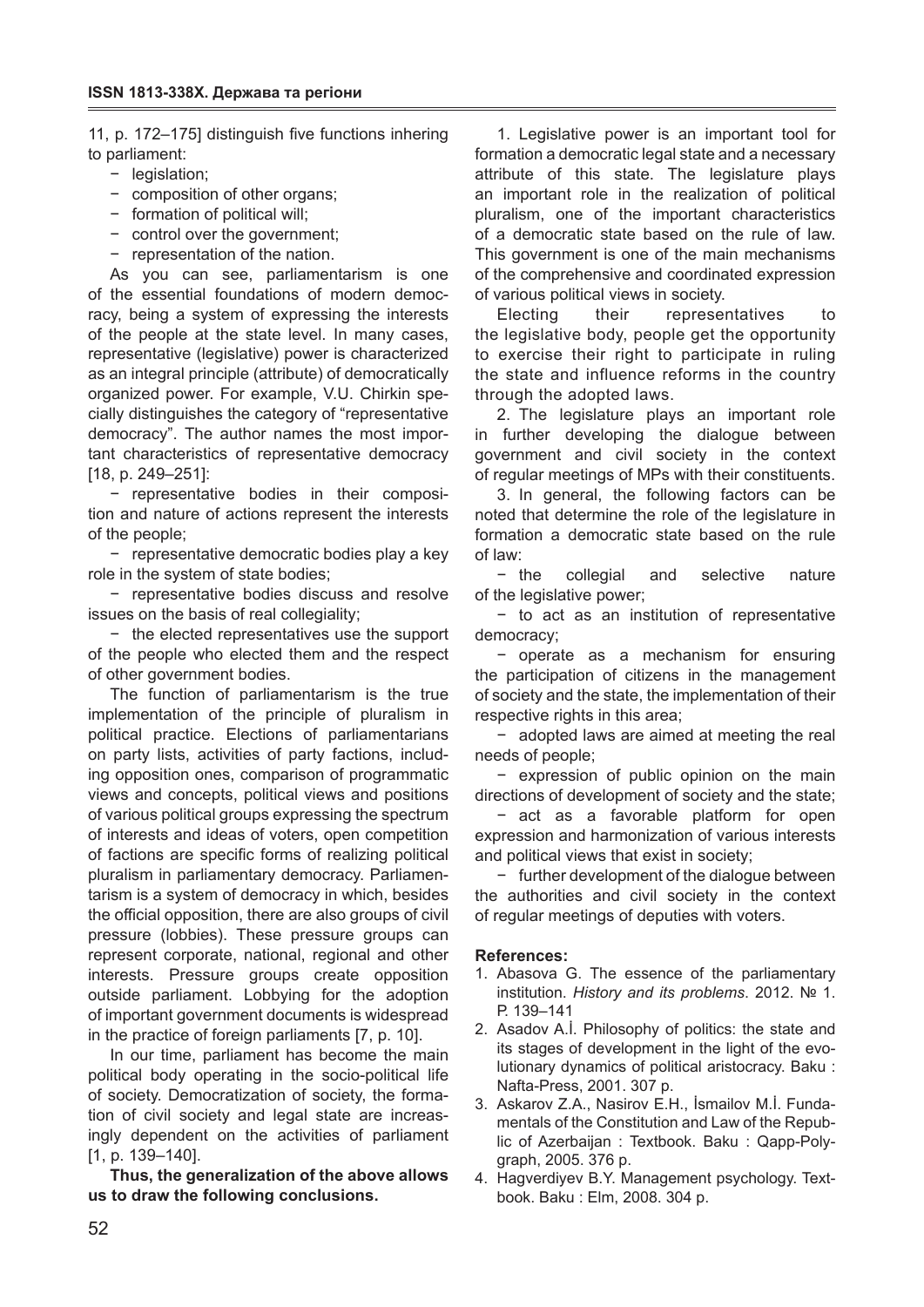11, p. 172–175] distinguish five functions inhering to parliament:

- − legislation;
- − composition of other organs;
- − formation of political will;
- − control over the government;
- − representation of the nation.

As you can see, parliamentarism is one of the essential foundations of modern democracy, being a system of expressing the interests of the people at the state level. In many cases, representative (legislative) power is characterized as an integral principle (attribute) of democratically organized power. For example, V.U. Chirkin specially distinguishes the category of "representative democracy". The author names the most important characteristics of representative democracy [18, p. 249-251]:

− representative bodies in their composition and nature of actions represent the interests of the people;

− representative democratic bodies play a key role in the system of state bodies;

− representative bodies discuss and resolve issues on the basis of real collegiality;

− the elected representatives use the support of the people who elected them and the respect of other government bodies.

The function of parliamentarism is the true implementation of the principle of pluralism in political practice. Elections of parliamentarians on party lists, activities of party factions, including opposition ones, comparison of programmatic views and concepts, political views and positions of various political groups expressing the spectrum of interests and ideas of voters, open competition of factions are specific forms of realizing political pluralism in parliamentary democracy. Parliamentarism is a system of democracy in which, besides the official opposition, there are also groups of civil pressure (lobbies). These pressure groups can represent corporate, national, regional and other interests. Pressure groups create opposition outside parliament. Lobbying for the adoption of important government documents is widespread in the practice of foreign parliaments [7, p. 10].

In our time, parliament has become the main political body operating in the socio-political life of society. Democratization of society, the formation of civil society and legal state are increasingly dependent on the activities of parliament [1, p. 139–140].

**Thus, the generalization of the above allows us to draw the following conclusions.**

1. Legislative power is an important tool for formation a democratic legal state and a necessary attribute of this state. The legislature plays an important role in the realization of political pluralism, one of the important characteristics of a democratic state based on the rule of law. This government is one of the main mechanisms of the comprehensive and coordinated expression of various political views in society.

Electing their representatives to the legislative body, people get the opportunity to exercise their right to participate in ruling the state and influence reforms in the country through the adopted laws.

2. The legislature plays an important role in further developing the dialogue between government and civil society in the context of regular meetings of MPs with their constituents.

3. In general, the following factors can be noted that determine the role of the legislature in formation a democratic state based on the rule of law:

− the collegial and selective nature of the legislative power;

− to act as an institution of representative democracy;

− operate as a mechanism for ensuring the participation of citizens in the management of society and the state, the implementation of their respective rights in this area;

− adopted laws are aimed at meeting the real needs of people;

− expression of public opinion on the main directions of development of society and the state;

− act as a favorable platform for open expression and harmonization of various interests and political views that exist in society;

− further development of the dialogue between the authorities and civil society in the context of regular meetings of deputies with voters.

### **References:**

- 1. Abasova G. The essence of the parliamentary institution. *History and its problems*. 2012. № 1. Р. 139–141
- 2. Asadov A.İ. Philosophy of politics: the state and its stages of development in the light of the evolutionary dynamics of political aristocracy. Baku : Nafta-Press, 2001. 307 p.
- 3. Askarov Z.A., Nasirov E.H., İsmailov M.İ. Fundamentals of the Constitution and Law of the Republic of Azerbaijan : Textbook. Baku : Qapp-Polygraph, 2005. 376 p.
- 4. Hagverdiyev B.Y. Management psychology. Textbook. Baku : Elm, 2008. 304 p.